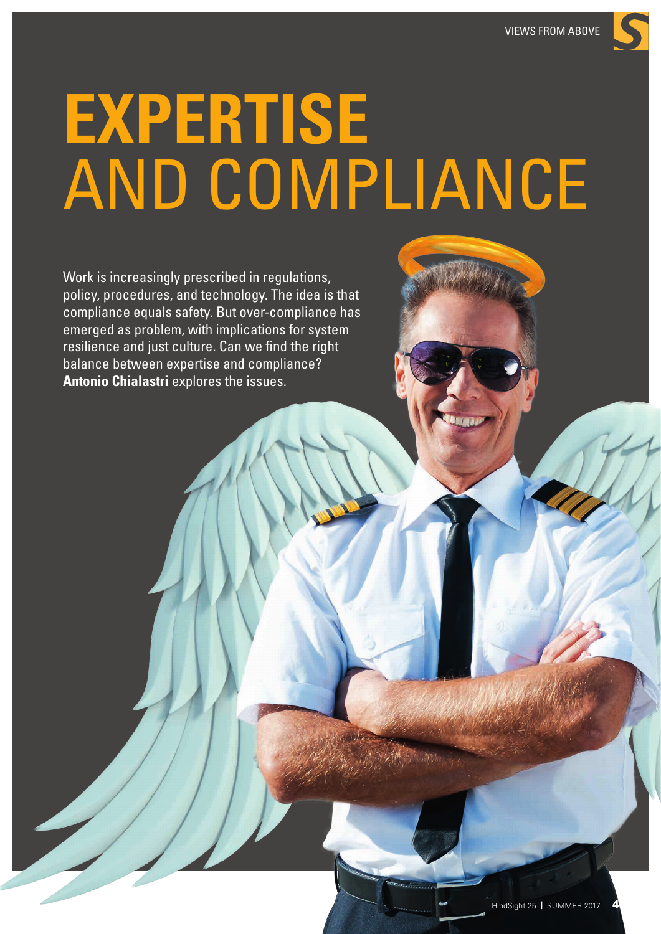# **EXPERTISE** AND COMPLIANCE

Work is increasingly prescribed in regulations, policy, procedures, and technology. The idea is that compliance equals safety. But over-compliance has emerged as problem, with implications for system resilience and just culture. Can we find the right balance between expertise and compliance? **Antonio Chialastri** explores the issues.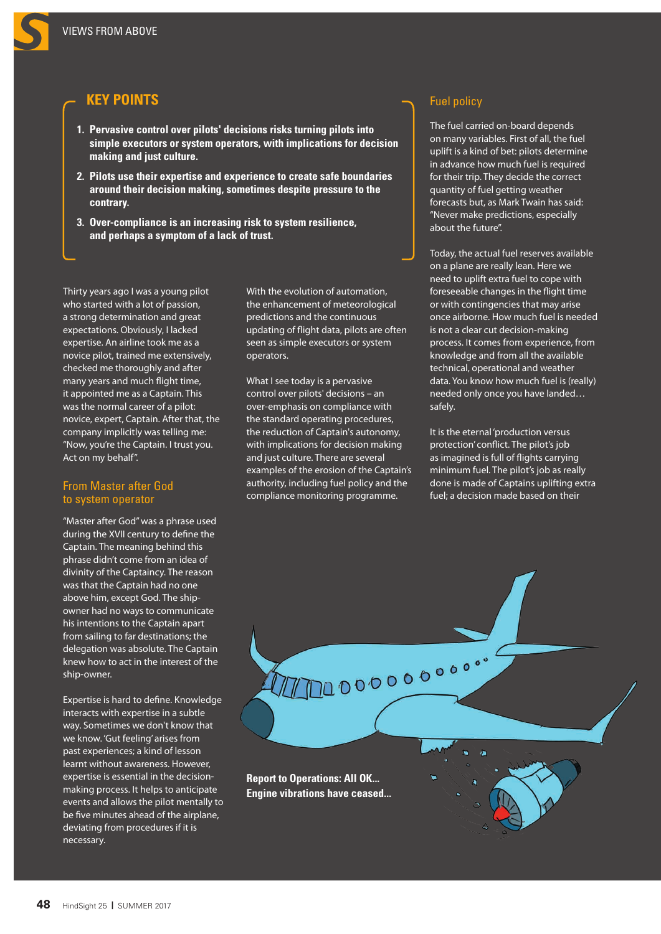# **KEY POINTS**

- **1. Pervasive control over pilots' decisions risks turning pilots into simple executors or system operators, with implications for decision making and just culture.**
- **2. Pilots use their expertise and experience to create safe boundaries around their decision making, sometimes despite pressure to the contrary.**
- **3. Over-compliance is an increasing risk to system resilience, and perhaps a symptom of a lack of trust.**

Thirty years ago I was a young pilot who started with a lot of passion, a strong determination and great expectations. Obviously, I lacked expertise. An airline took me as a novice pilot, trained me extensively, checked me thoroughly and after many years and much flight time, it appointed me as a Captain. This was the normal career of a pilot: novice, expert, Captain. After that, the company implicitly was telling me: "Now, you're the Captain. I trust you. Act on my behalf".

## From Master after God to system operator

"Master after God" was a phrase used during the XVII century to define the Captain. The meaning behind this phrase didn't come from an idea of divinity of the Captaincy. The reason was that the Captain had no one above him, except God. The shipowner had no ways to communicate his intentions to the Captain apart from sailing to far destinations; the delegation was absolute. The Captain knew how to act in the interest of the ship-owner.

Expertise is hard to define. Knowledge interacts with expertise in a subtle way. Sometimes we don't know that we know. 'Gut feeling' arises from past experiences; a kind of lesson learnt without awareness. However, expertise is essential in the decisionmaking process. It helps to anticipate events and allows the pilot mentally to be five minutes ahead of the airplane, deviating from procedures if it is necessary.

With the evolution of automation, the enhancement of meteorological predictions and the continuous updating of flight data, pilots are often seen as simple executors or system operators.

What I see today is a pervasive control over pilots' decisions – an over-emphasis on compliance with the standard operating procedures, the reduction of Captain's autonomy, with implications for decision making and just culture. There are several examples of the erosion of the Captain's authority, including fuel policy and the compliance monitoring programme.

# Fuel policy

The fuel carried on-board depends on many variables. First of all, the fuel uplift is a kind of bet: pilots determine in advance how much fuel is required for their trip. They decide the correct quantity of fuel getting weather forecasts but, as Mark Twain has said: "Never make predictions, especially about the future".

Today, the actual fuel reserves available on a plane are really lean. Here we need to uplift extra fuel to cope with foreseeable changes in the flight time or with contingencies that may arise once airborne. How much fuel is needed is not a clear cut decision-making process. It comes from experience, from knowledge and from all the available technical, operational and weather data. You know how much fuel is (really) needed only once you have landed… safely.

It is the eternal 'production versus protection' conflict. The pilot's job as imagined is full of flights carrying minimum fuel. The pilot's job as really done is made of Captains uplifting extra fuel; a decision made based on their

**Report to Operations: All OK... Engine vibrations have ceased...**

1000000000000